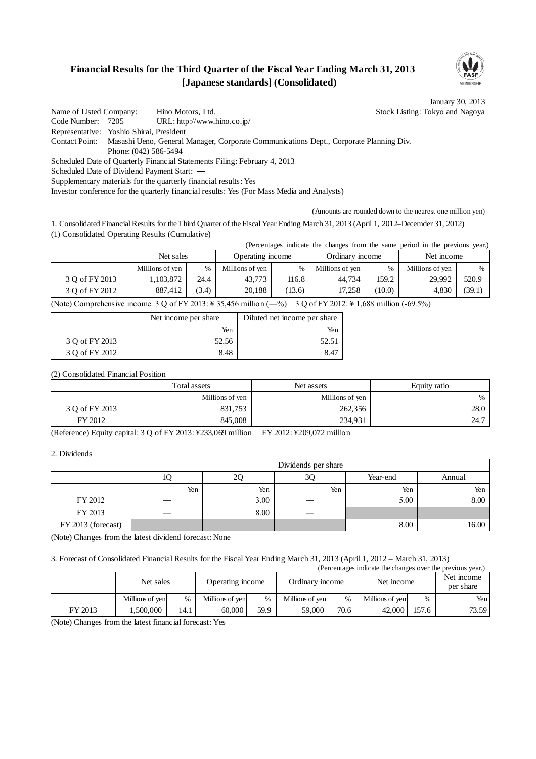# **Financial Results for the Third Quarter of the Fiscal Year Ending March 31, 2013 [Japanese standards] (Consolidated)**



January 30, 2013

Name of Listed Company: Hino Motors, Ltd. Stock Listing: Tokyo and Nagoya Code Number: 7205 URL: http://www.hino.co.jp/ Representative: Yoshio Shirai, President Contact Point: Masashi Ueno, General Manager, Corporate Communications Dept., Corporate Planning Div. Phone: (042) 586-5494 Scheduled Date of Quarterly Financial Statements Filing: February 4, 2013 Scheduled Date of Dividend Payment Start:

Supplementary materials for the quarterly financial results: Yes

Investor conference for the quarterly financial results: Yes (For Mass Media and Analysts)

(Amounts are rounded down to the nearest one million yen)

1. Consolidated Financial Results for the Third Quarter of the Fiscal Year Ending March 31, 2013 (April 1, 2012–Decemder 31, 2012) (1) Consolidated Operating Results (Cumulative)

(Percentages indicate the changes from the same period in the previous year.)

|                | Net sales       |       | Operating income |        | Ordinary income |        | Net income      |        |
|----------------|-----------------|-------|------------------|--------|-----------------|--------|-----------------|--------|
|                | Millions of yen | $\%$  | Millions of yen  | %      | Millions of yen | %      | Millions of yen | $\%$   |
| 3 Q of FY 2013 | 1.103.872       | 24.4  | 43.773           | 116.8  | 44.734          | 159.2  | 29,992          | 520.9  |
| 3 O of FY 2012 | 887.412         | (3.4) | 20.188           | (13.6) | 17.258          | (10.0) | 4.830           | (39.1) |

(Note) Comprehensive income: 3 Q of FY 2013: ¥ 35,456 million (―%) 3 Q of FY 2012: ¥ 1,688 million (-69.5%)

|                | Net income per share | Diluted net income per share |
|----------------|----------------------|------------------------------|
|                | Yen                  | Yen                          |
| 3 O of FY 2013 | 52.56                | 52.51                        |
| 3 Q of FY 2012 | 8.48                 | -8.47                        |

(2) Consolidated Financial Position

|                | Total assets    | Net assets      | Equity ratio |
|----------------|-----------------|-----------------|--------------|
|                | Millions of yen | Millions of yen | $\%$         |
| 3 Q of FY 2013 | 831,753         | 262,356         | 28.0         |
| FY 2012        | 845,008         | 234,931         | 24.7         |

(Reference) Equity capital: 3 Q of FY 2013: ¥233,069 million FY 2012: ¥209,072 million

2. Dividends

|                    | Dividends per share |                      |     |      |       |  |  |
|--------------------|---------------------|----------------------|-----|------|-------|--|--|
|                    | ιv                  | 3Q<br>Year-end<br>2Q |     |      |       |  |  |
|                    | Yen                 | Yen                  | Yen | Yen  | Yen   |  |  |
| FY 2012            |                     | 3.00                 |     | 5.00 | 8.00  |  |  |
| FY 2013            |                     | 8.00                 |     |      |       |  |  |
| FY 2013 (forecast) |                     |                      |     | 8.00 | 16.00 |  |  |

(Note) Changes from the latest dividend forecast: None

3. Forecast of Consolidated Financial Results for the Fiscal Year Ending March 31, 2013 (April 1, 2012 – March 31, 2013)

|         | (Percentages indicate the changes over the previous year.) |      |                  |      |                 |      |                 |               |                         |  |  |
|---------|------------------------------------------------------------|------|------------------|------|-----------------|------|-----------------|---------------|-------------------------|--|--|
|         | Net sales                                                  |      | Operating income |      | Ordinary income |      | Net income      |               | Net income<br>per share |  |  |
|         | Millions of yen                                            | $\%$ | Millions of yen  | %    | Millions of yen | $\%$ | Millions of yen | $\frac{0}{6}$ | Yen                     |  |  |
| FY 2013 | 1.500.000                                                  | 14.1 | 60.000           | 59.9 | 59,000          | 70.6 | 42,000          | 157.6         | 73.59                   |  |  |

(Note) Changes from the latest financial forecast: Yes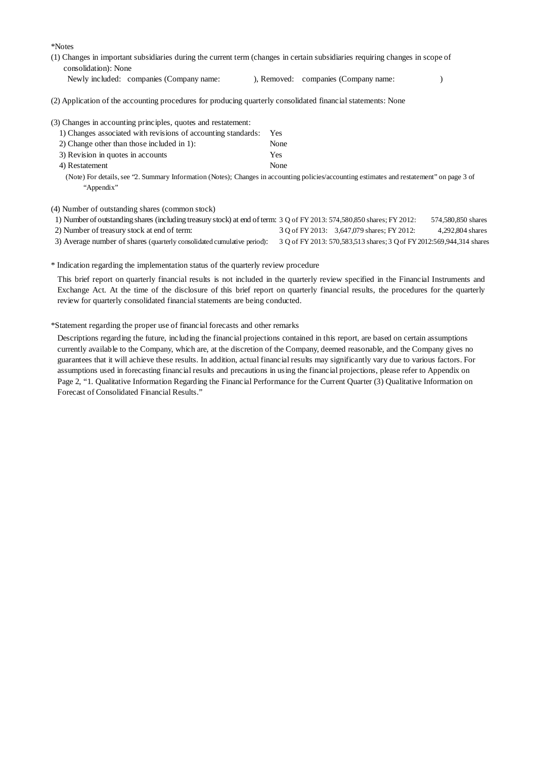\*Notes

- (1) Changes in important subsidiaries during the current term (changes in certain subsidiaries requiring changes in scope of consolidation): None
	- Newly included: companies (Company name: ), Removed: companies (Company name: )

(2) Application of the accounting procedures for producing quarterly consolidated financial statements: None

|  |  |  |  | (3) Changes in accounting principles, quotes and restatement: |
|--|--|--|--|---------------------------------------------------------------|
|  |  |  |  |                                                               |

| 1) Changes associated with revisions of accounting standards: | Yes  |
|---------------------------------------------------------------|------|
| 2) Change other than those included in $1$ :                  | None |
| 3) Revision in quotes in accounts                             | Yes. |
| 4) Restatement                                                | None |

(Note) For details, see "2. Summary Information (Notes); Changes in accounting policies/accounting estimates and restatement" on page 3 of "Appendix"

(4) Number of outstanding shares (common stock)

- 1) Number of outstanding shares (including treasury stock) at end of term: 3 Q of FY 2013: 574,580,850 shares; FY 2012: 574,580,850 shares 2) Number of treasury stock at end of term: 3 Q of FY 2013: 3,647,079 shares; FY 2012: 4,292,804 shares
- 
- 3) Average number of shares (quarterly consolidated cumulative period): 3 Q of FY 2013: 570,583,513 shares; 3 Qof FY2012:569,944,314 shares

\* Indication regarding the implementation status of the quarterly review procedure

This brief report on quarterly financial results is not included in the quarterly review specified in the Financial Instruments and Exchange Act. At the time of the disclosure of this brief report on quarterly financial results, the procedures for the quarterly review for quarterly consolidated financial statements are being conducted.

\*Statement regarding the proper use of financial forecasts and other remarks

Descriptions regarding the future, including the financial projections contained in this report, are based on certain assumptions currently available to the Company, which are, at the discretion of the Company, deemed reasonable, and the Company gives no guarantees that it will achieve these results. In addition, actual financial results may significantly vary due to various factors. For assumptions used in forecasting financial results and precautions in using the financial projections, please refer to Appendix on Page 2, "1. Qualitative Information Regarding the Financial Performance for the Current Quarter (3) Qualitative Information on Forecast of Consolidated Financial Results."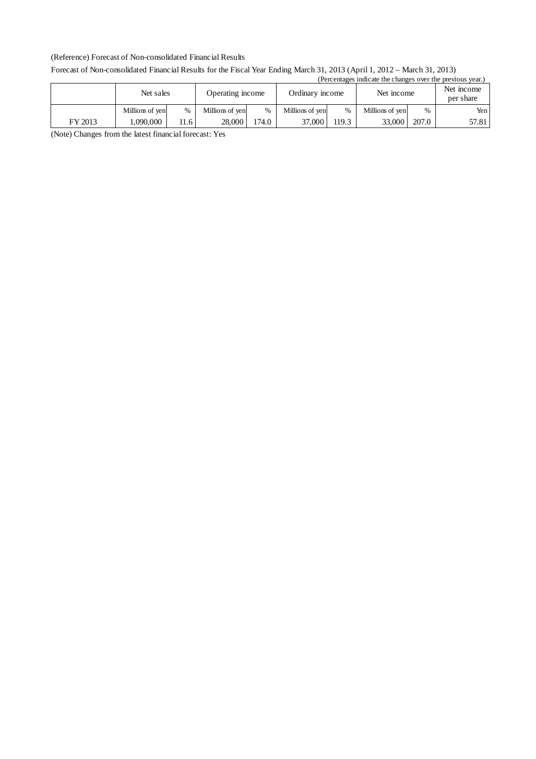### (Reference) Forecast of Non-consolidated Financial Results

#### Forecast of Non-consolidated Financial Results for the Fiscal Year Ending March 31, 2013 (April 1, 2012 – March 31, 2013) (Percentages indicate the changes over the previous year.)

|         | Net sales       |      |                 | Ordinary income<br>Operating income |                 |       | Net income      |       | Net income<br>per share |
|---------|-----------------|------|-----------------|-------------------------------------|-----------------|-------|-----------------|-------|-------------------------|
|         | Millions of yen | $\%$ | Millions of yen | $\%$                                | Millions of yen | $\%$  | Millions of yen | $\%$  | Yen                     |
| FY 2013 | .090.000        | 11.6 | 28,000          | 174.0                               | 37,000          | 119.3 | 33,000          | 207.0 | 57.81                   |

(Note) Changes from the latest financial forecast: Yes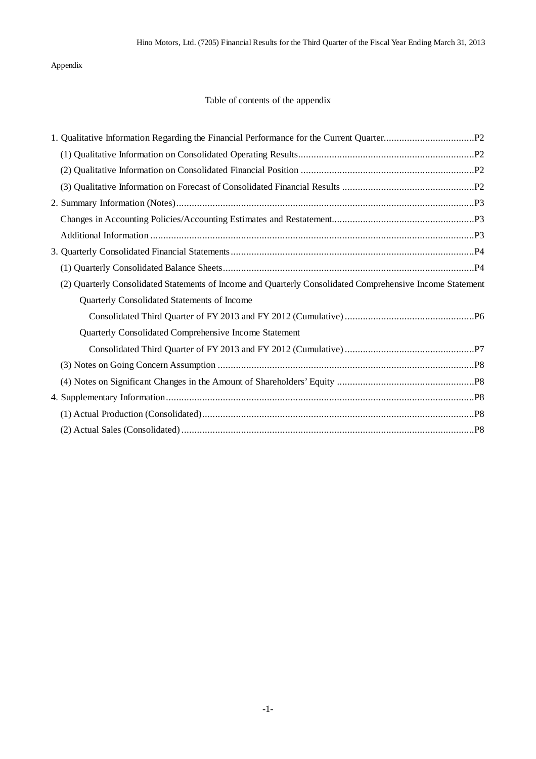## Appendix

# Table of contents of the appendix

| (2) Quarterly Consolidated Statements of Income and Quarterly Consolidated Comprehensive Income Statement |  |
|-----------------------------------------------------------------------------------------------------------|--|
| Quarterly Consolidated Statements of Income                                                               |  |
|                                                                                                           |  |
| Quarterly Consolidated Comprehensive Income Statement                                                     |  |
|                                                                                                           |  |
|                                                                                                           |  |
|                                                                                                           |  |
|                                                                                                           |  |
|                                                                                                           |  |
|                                                                                                           |  |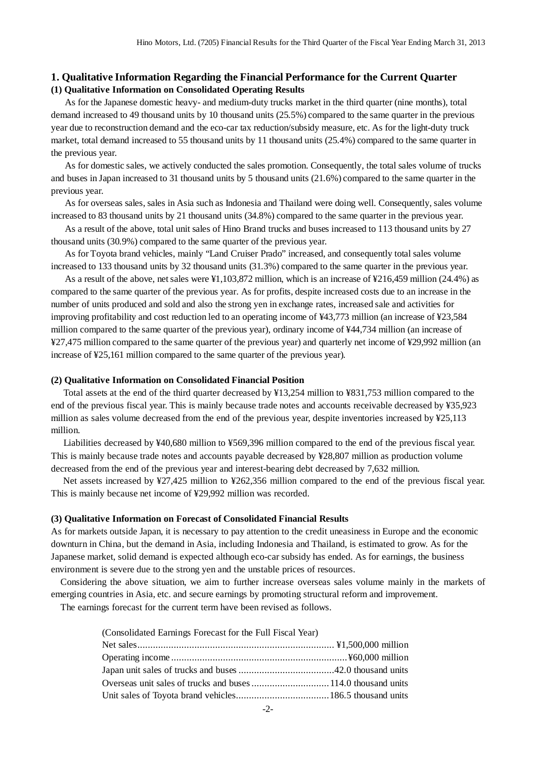## **1. Qualitative Information Regarding the Financial Performance for the Current Quarter (1) Qualitative Information on Consolidated Operating Results**

As for the Japanese domestic heavy- and medium-duty trucks market in the third quarter (nine months), total demand increased to 49 thousand units by 10 thousand units (25.5%) compared to the same quarter in the previous year due to reconstruction demand and the eco-car tax reduction/subsidy measure, etc. As for the light-duty truck market, total demand increased to 55 thousand units by 11 thousand units (25.4%) compared to the same quarter in the previous year.

As for domestic sales, we actively conducted the sales promotion. Consequently, the total sales volume of trucks and buses in Japan increased to 31 thousand units by 5 thousand units (21.6%) compared to the same quarter in the previous year.

As for overseas sales, sales in Asia such as Indonesia and Thailand were doing well. Consequently, sales volume increased to 83 thousand units by 21 thousand units (34.8%) compared to the same quarter in the previous year.

As a result of the above, total unit sales of Hino Brand trucks and buses increased to 113 thousand units by 27 thousand units (30.9%) compared to the same quarter of the previous year.

As for Toyota brand vehicles, mainly "Land Cruiser Prado" increased, and consequently total sales volume increased to 133 thousand units by 32 thousand units (31.3%) compared to the same quarter in the previous year.

As a result of the above, net sales were ¥1,103,872 million, which is an increase of ¥216,459 million (24.4%) as compared to the same quarter of the previous year. As for profits, despite increased costs due to an increase in the number of units produced and sold and also the strong yen in exchange rates, increased sale and activities for improving profitability and cost reduction led to an operating income of ¥43,773 million (an increase of ¥23,584 million compared to the same quarter of the previous year), ordinary income of ¥44,734 million (an increase of ¥27,475 million compared to the same quarter of the previous year) and quarterly net income of ¥29,992 million (an increase of ¥25,161 million compared to the same quarter of the previous year).

#### **(2) Qualitative Information on Consolidated Financial Position**

Total assets at the end of the third quarter decreased by ¥13,254 million to ¥831,753 million compared to the end of the previous fiscal year. This is mainly because trade notes and accounts receivable decreased by ¥35,923 million as sales volume decreased from the end of the previous year, despite inventories increased by ¥25,113 million.

Liabilities decreased by ¥40,680 million to ¥569,396 million compared to the end of the previous fiscal year. This is mainly because trade notes and accounts payable decreased by ¥28,807 million as production volume decreased from the end of the previous year and interest-bearing debt decreased by 7,632 million.

Net assets increased by ¥27,425 million to ¥262,356 million compared to the end of the previous fiscal year. This is mainly because net income of ¥29,992 million was recorded.

#### **(3) Qualitative Information on Forecast of Consolidated Financial Results**

As for markets outside Japan, it is necessary to pay attention to the credit uneasiness in Europe and the economic downturn in China, but the demand in Asia, including Indonesia and Thailand, is estimated to grow. As for the Japanese market, solid demand is expected although eco-car subsidy has ended. As for earnings, the business environment is severe due to the strong yen and the unstable prices of resources.

Considering the above situation, we aim to further increase overseas sales volume mainly in the markets of emerging countries in Asia, etc. and secure earnings by promoting structural reform and improvement.

The earnings forecast for the current term have been revised as follows.

| (Consolidated Earnings Forecast for the Full Fiscal Year) |  |
|-----------------------------------------------------------|--|
|                                                           |  |
|                                                           |  |
|                                                           |  |
|                                                           |  |
|                                                           |  |

-2-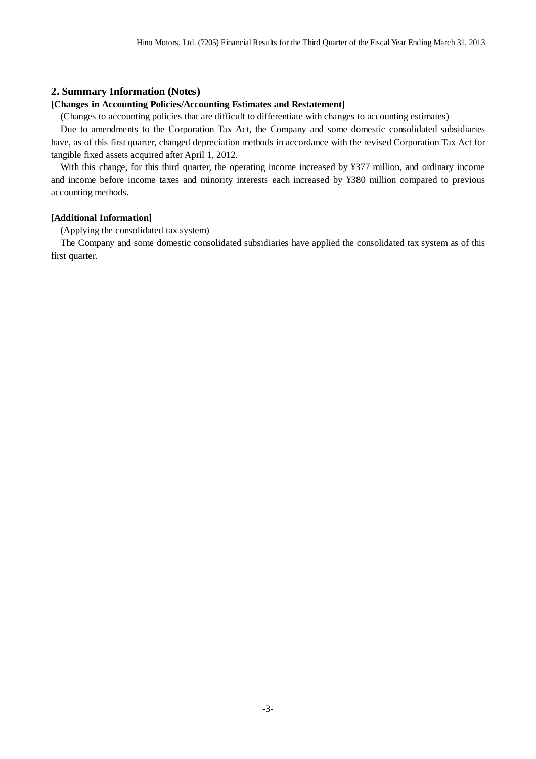### **2. Summary Information (Notes)**

### **[Changes in Accounting Policies/Accounting Estimates and Restatement]**

(Changes to accounting policies that are difficult to differentiate with changes to accounting estimates)

Due to amendments to the Corporation Tax Act, the Company and some domestic consolidated subsidiaries have, as of this first quarter, changed depreciation methods in accordance with the revised Corporation Tax Act for tangible fixed assets acquired after April 1, 2012.

With this change, for this third quarter, the operating income increased by ¥377 million, and ordinary income and income before income taxes and minority interests each increased by ¥380 million compared to previous accounting methods.

#### **[Additional Information]**

(Applying the consolidated tax system)

The Company and some domestic consolidated subsidiaries have applied the consolidated tax system as of this first quarter.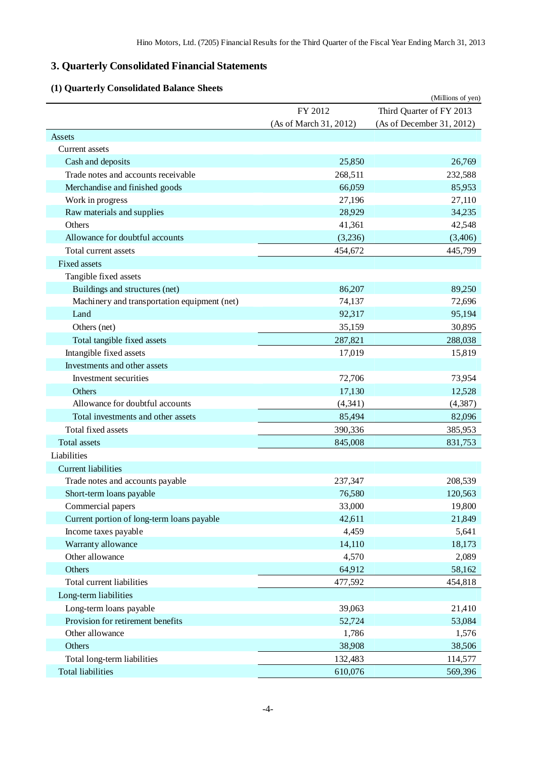# **3. Quarterly Consolidated Financial Statements**

# **(1) Quarterly Consolidated Balance Sheets**

| (1) Quarterly Consonuated Dalance Sheets     |                        | (Millions of yen)         |
|----------------------------------------------|------------------------|---------------------------|
|                                              | FY 2012                | Third Quarter of FY 2013  |
|                                              | (As of March 31, 2012) | (As of December 31, 2012) |
| Assets                                       |                        |                           |
| Current assets                               |                        |                           |
| Cash and deposits                            | 25,850                 | 26,769                    |
| Trade notes and accounts receivable          | 268,511                | 232,588                   |
| Merchandise and finished goods               | 66,059                 | 85,953                    |
| Work in progress                             | 27,196                 | 27,110                    |
| Raw materials and supplies                   | 28,929                 | 34,235                    |
| Others                                       | 41,361                 | 42,548                    |
| Allowance for doubtful accounts              | (3,236)                | (3,406)                   |
| Total current assets                         | 454,672                | 445,799                   |
| <b>Fixed assets</b>                          |                        |                           |
| Tangible fixed assets                        |                        |                           |
| Buildings and structures (net)               | 86,207                 | 89,250                    |
| Machinery and transportation equipment (net) | 74,137                 | 72,696                    |
| Land                                         | 92,317                 | 95,194                    |
| Others (net)                                 | 35,159                 | 30,895                    |
| Total tangible fixed assets                  | 287,821                | 288,038                   |
| Intangible fixed assets                      | 17,019                 | 15,819                    |
| Investments and other assets                 |                        |                           |
| Investment securities                        | 72,706                 | 73,954                    |
| Others                                       | 17,130                 | 12,528                    |
| Allowance for doubtful accounts              | (4, 341)               | (4, 387)                  |
| Total investments and other assets           | 85,494                 | 82,096                    |
| Total fixed assets                           | 390,336                | 385,953                   |
| <b>Total assets</b>                          | 845,008                | 831,753                   |
| Liabilities                                  |                        |                           |
| <b>Current liabilities</b>                   |                        |                           |
| Trade notes and accounts payable             | 237,347                | 208,539                   |
| Short-term loans payable                     | 76,580                 | 120,563                   |
| Commercial papers                            | 33,000                 | 19,800                    |
| Current portion of long-term loans payable   | 42,611                 | 21,849                    |
| Income taxes payable                         | 4,459                  | 5,641                     |
| Warranty allowance                           | 14,110                 | 18,173                    |
| Other allowance                              | 4,570                  | 2,089                     |
| Others                                       | 64,912                 | 58,162                    |
| Total current liabilities                    | 477,592                | 454,818                   |
| Long-term liabilities                        |                        |                           |
| Long-term loans payable                      | 39,063                 | 21,410                    |
| Provision for retirement benefits            | 52,724                 | 53,084                    |
| Other allowance                              | 1,786                  | 1,576                     |
| Others                                       | 38,908                 | 38,506                    |
| Total long-term liabilities                  | 132,483                | 114,577                   |
| <b>Total liabilities</b>                     | 610,076                | 569,396                   |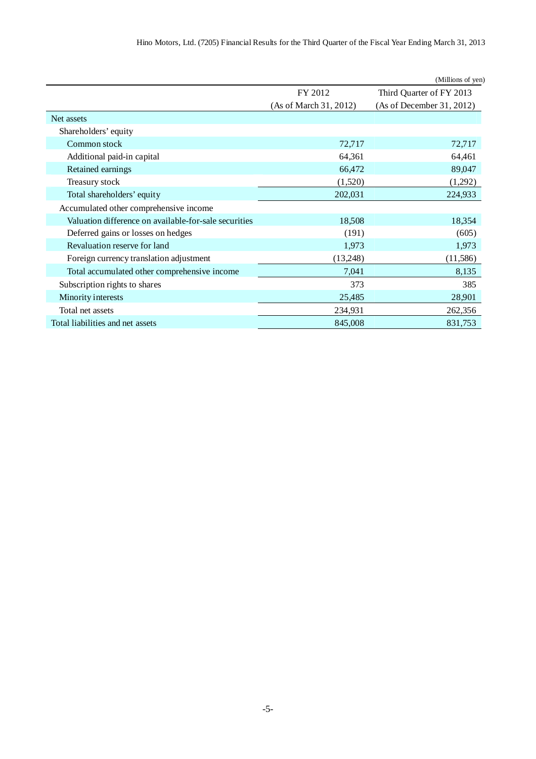|                                                       |                        | (Millions of yen)         |
|-------------------------------------------------------|------------------------|---------------------------|
|                                                       | FY 2012                | Third Quarter of FY 2013  |
|                                                       | (As of March 31, 2012) | (As of December 31, 2012) |
| Net assets                                            |                        |                           |
| Shareholders' equity                                  |                        |                           |
| Common stock                                          | 72,717                 | 72,717                    |
| Additional paid-in capital                            | 64,361                 | 64,461                    |
| Retained earnings                                     | 66,472                 | 89,047                    |
| Treasury stock                                        | (1,520)                | (1,292)                   |
| Total shareholders' equity                            | 202,031                | 224,933                   |
| Accumulated other comprehensive income                |                        |                           |
| Valuation difference on available-for-sale securities | 18,508                 | 18,354                    |
| Deferred gains or losses on hedges                    | (191)                  | (605)                     |
| Revaluation reserve for land                          | 1,973                  | 1,973                     |
| Foreign currency translation adjustment               | (13,248)               | (11,586)                  |
| Total accumulated other comprehensive income          | 7,041                  | 8,135                     |
| Subscription rights to shares                         | 373                    | 385                       |
| Minority interests                                    | 25,485                 | 28,901                    |
| Total net assets                                      | 234,931                | 262,356                   |
| Total liabilities and net assets                      | 845,008                | 831,753                   |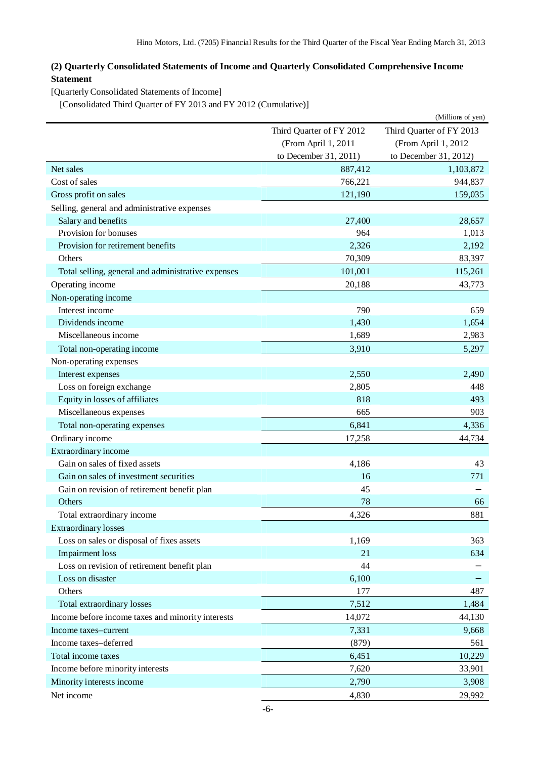# **(2) Quarterly Consolidated Statements of Income and Quarterly Consolidated Comprehensive Income Statement**

[Quarterly Consolidated Statements of Income]

[Consolidated Third Quarter of FY 2013 and FY 2012 (Cumulative)]

|                                                    |                                                      | (Millions of yen)     |  |  |
|----------------------------------------------------|------------------------------------------------------|-----------------------|--|--|
|                                                    | Third Quarter of FY 2013<br>Third Quarter of FY 2012 |                       |  |  |
|                                                    | (From April 1, 2011                                  | (From April 1, 2012   |  |  |
|                                                    | to December 31, 2011)                                | to December 31, 2012) |  |  |
| Net sales                                          | 887,412                                              | 1,103,872             |  |  |
| Cost of sales                                      | 766,221                                              | 944,837               |  |  |
| Gross profit on sales                              | 121,190                                              | 159,035               |  |  |
| Selling, general and administrative expenses       |                                                      |                       |  |  |
| Salary and benefits                                | 27,400                                               | 28,657                |  |  |
| Provision for bonuses                              | 964                                                  | 1,013                 |  |  |
| Provision for retirement benefits                  | 2,326                                                | 2,192                 |  |  |
| Others                                             | 70,309                                               | 83,397                |  |  |
| Total selling, general and administrative expenses | 101,001                                              | 115,261               |  |  |
| Operating income                                   | 20,188                                               | 43,773                |  |  |
| Non-operating income                               |                                                      |                       |  |  |
| Interest income                                    | 790                                                  | 659                   |  |  |
| Dividends income                                   | 1,430                                                | 1,654                 |  |  |
| Miscellaneous income                               | 1,689                                                | 2,983                 |  |  |
| Total non-operating income                         | 3,910                                                | 5,297                 |  |  |
| Non-operating expenses                             |                                                      |                       |  |  |
| Interest expenses                                  | 2,550                                                | 2,490                 |  |  |
| Loss on foreign exchange                           | 2,805                                                | 448                   |  |  |
| Equity in losses of affiliates                     | 818                                                  | 493                   |  |  |
| Miscellaneous expenses                             | 665                                                  | 903                   |  |  |
| Total non-operating expenses                       | 6,841                                                | 4,336                 |  |  |
| Ordinary income                                    | 17,258                                               | 44,734                |  |  |
| Extraordinary income                               |                                                      |                       |  |  |
| Gain on sales of fixed assets                      | 4,186                                                | 43                    |  |  |
| Gain on sales of investment securities             | 16                                                   | 771                   |  |  |
| Gain on revision of retirement benefit plan        | 45                                                   |                       |  |  |
| Others                                             | 78                                                   | 66                    |  |  |
| Total extraordinary income                         | 4,326                                                | 881                   |  |  |
| <b>Extraordinary losses</b>                        |                                                      |                       |  |  |
| Loss on sales or disposal of fixes assets          | 1,169                                                | 363                   |  |  |
| <b>Impairment</b> loss                             | 21                                                   | 634                   |  |  |
| Loss on revision of retirement benefit plan        | 44                                                   |                       |  |  |
| Loss on disaster                                   | 6,100                                                |                       |  |  |
| Others                                             | 177                                                  | 487                   |  |  |
| Total extraordinary losses                         | 7,512                                                | 1,484                 |  |  |
| Income before income taxes and minority interests  | 14,072                                               | 44,130                |  |  |
| Income taxes-current                               | 7,331                                                | 9,668                 |  |  |
| Income taxes-deferred                              | (879)                                                | 561                   |  |  |
| Total income taxes                                 | 6,451                                                | 10,229                |  |  |
| Income before minority interests                   | 7,620                                                | 33,901                |  |  |
| Minority interests income                          | 2,790                                                | 3,908                 |  |  |
| Net income                                         | 4,830                                                | 29,992                |  |  |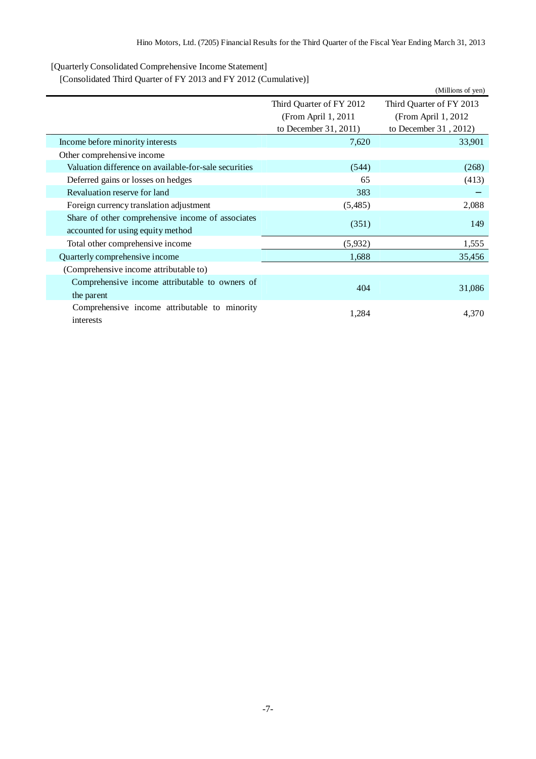[Quarterly Consolidated Comprehensive Income Statement]

[Consolidated Third Quarter of FY 2013 and FY 2012 (Cumulative)]

|                                                                                        |                          | (Millions of yen)        |  |  |
|----------------------------------------------------------------------------------------|--------------------------|--------------------------|--|--|
|                                                                                        | Third Quarter of FY 2012 | Third Quarter of FY 2013 |  |  |
|                                                                                        | (From April 1, 2011)     | (From April 1, 2012)     |  |  |
|                                                                                        | to December 31, 2011)    | to December 31, 2012)    |  |  |
| Income before minority interests                                                       | 7,620                    | 33,901                   |  |  |
| Other comprehensive income                                                             |                          |                          |  |  |
| Valuation difference on available-for-sale securities                                  | (544)                    | (268)                    |  |  |
| Deferred gains or losses on hedges                                                     | 65                       | (413)                    |  |  |
| Revaluation reserve for land                                                           | 383                      |                          |  |  |
| Foreign currency translation adjustment                                                | (5,485)                  | 2,088                    |  |  |
| Share of other comprehensive income of associates<br>accounted for using equity method | (351)                    | 149                      |  |  |
| Total other comprehensive income                                                       | (5,932)                  | 1,555                    |  |  |
| Quarterly comprehensive income                                                         | 1,688                    | 35,456                   |  |  |
| (Comprehensive income attributable to)                                                 |                          |                          |  |  |
| Comprehensive income attributable to owners of<br>the parent                           | 404                      | 31,086                   |  |  |
| Comprehensive income attributable to minority<br>interests                             | 1,284                    | 4,370                    |  |  |